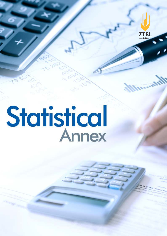

# Statistical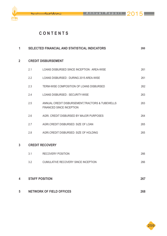ىڭد

**ZTBL** 



| 1              | <b>SELECTED FINANCIAL AND STATISTICAL INDICATORS</b> |                                                                                     |     |  |  |  |
|----------------|------------------------------------------------------|-------------------------------------------------------------------------------------|-----|--|--|--|
| $\overline{2}$ |                                                      | <b>CREDIT DISBURSEMENT</b>                                                          |     |  |  |  |
|                | 2.1                                                  | LOANS DISBURSED SINCE INCEPTION : AREA-WISE                                         | 261 |  |  |  |
|                | 2.2                                                  | LOANS DISBURSED: DURING 2015 AREA-WISE                                              | 261 |  |  |  |
|                | 2.3                                                  | TERM-WISE COMPOSITION OF LOANS DISBURSED                                            | 262 |  |  |  |
|                | 2.4                                                  | LOANS DISBURSED : SECURITY-WISE                                                     | 263 |  |  |  |
|                | 2.5                                                  | ANNUAL CREDIT DISBURSEMENT, TRACTORS & TUBEWELLS<br><b>FINANCED SINCE INCEPTION</b> | 263 |  |  |  |
|                | 2.6                                                  | AGRI. CREDIT DISBURSED BY MAJOR PURPOSES                                            | 264 |  |  |  |
|                | 2.7                                                  | AGRI.CREDIT DISBURSED: SIZE OF LOAN                                                 | 265 |  |  |  |
|                | 2.8                                                  | AGRI.CREDIT DISBURSED: SIZE OF HOLDING                                              | 265 |  |  |  |
| $\overline{3}$ |                                                      | <b>CREDIT RECOVERY</b>                                                              |     |  |  |  |
|                | 3.1                                                  | <b>RECOVERY POSITION</b>                                                            | 266 |  |  |  |
|                | 3.2                                                  | CUMULATIVE RECOVERY SINCE INCEPTION                                                 | 266 |  |  |  |
| 4              |                                                      | <b>STAFF POSITION</b>                                                               | 267 |  |  |  |
|                |                                                      |                                                                                     |     |  |  |  |
| 5              |                                                      | <b>NETWORK OF FIELD OFFICES</b>                                                     | 268 |  |  |  |

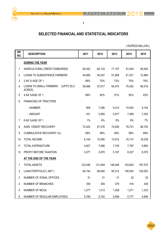يٹڈ

**ZTBL** 

**1**

# **SELECTED FINANCIAL AND STATISTICAL INDICATORS**

| SR.<br>NO.     | <b>DESCRIPTION</b>                                     | 2011    | 2012    | 2013    | 2014    | 2015    |
|----------------|--------------------------------------------------------|---------|---------|---------|---------|---------|
|                | <b>DURING THE YEAR</b>                                 |         |         |         |         |         |
| 1              | AGRICULTURAL CREDIT DISBURSED                          | 65,452  | 64,133  | 71,107  | 81,934  | 95,420  |
| $\overline{2}$ | <b>LOANS TO SUBSISTENCE FARMERS</b>                    | 44,606  | 45,207  | 51,858  | 61,321  | 72,869  |
| 3              | 2 AS % AGE OF 1                                        | 68%     | 70%     | 73%     | 75%     | 76%     |
| 4              | (UPTO 25.0)<br><b>LOANS TO SMALL FARMERS</b><br>ACRES) | 58,066  | 57,617  | 64,575  | 75,300  | 88,518  |
| 5              | 4 AS %AGE OF 1                                         | 89%     | 90%     | 91%     | 92%     | 93%     |
| 6              | <b>FINANCING OF TRACTORS</b>                           |         |         |         |         |         |
|                | - NUMBER                                               | 908     | 7,296   | 9,212   | 10,554  | 9,154   |
|                | - AMOUNT                                               | 431     | 3,594   | 5,977   | 7,489   | 7,054   |
| $\overline{7}$ | 6 AS %AGE OF 1                                         | $1\%$   | 6%      | 8%      | 9%      | 7%      |
| 8              | <b>AGRI. CREDIT RECOVERY</b>                           | 72,422  | 67,376  | 72,636  | 78,721  | 88,720  |
| 9              | <b>CUMMULATIVE RECOVERY (%)</b>                        | 99%     | 99%     | 99%     | 99%     | 99%     |
| 10             | <b>TOTAL INCOME</b>                                    | 8,104   | 10,936  | 12,912  | 16,114  | 18,239  |
| 11             | <b>TOTAL EXPENDITURE</b>                               | 4,827   | 7,066   | 7,745   | 7,787   | 9,860   |
| 12             | PROFIT BEFORE TAXATION                                 | 3,277   | 3,870   | 5,167   | 8,327   | 8,379   |
|                | AT THE END OF THE YEAR                                 |         |         |         |         |         |
| 1              | <b>TOTAL ASSETS</b>                                    | 122,548 | 131,649 | 148,448 | 163,563 | 187,574 |
| $\overline{2}$ | LOAN PORTFOLIO (NET)                                   | 84,744  | 88,060  | 95,312  | 108,554 | 129,553 |
| 3              | NUMBER OF ZONAL OFFICES                                | 31      | 31      | 31      | 32      | 32      |
| 4              | <b>NUMBER OF BRANCHES</b>                              | 359     | 359     | 379     | 416     | 438     |
| 5              | <b>NUMBER OF MCOS</b>                                  | 1,277   | 1,313   | 1,308   | 1,271   | 1,333   |
| 6              | NUMBER OF REGULAR EMPLOYEES                            | 5,789   | 5,724   | 5,599   | 5,777   | 5,699   |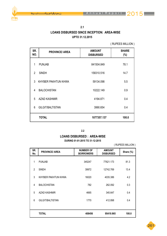۱,

ZTBL

# **2.1 UPTO 31.12.2015 LOANS DISBURSED SINCE INCEPTION: AREA-WISE**

( RUPEES MILLION )

| SR.<br>NO.    | <b>PROVINCE/ AREA</b>   | <b>AMOUNT</b><br><b>DISBURSED</b> | <b>SHARE</b><br>$(\%)$ |
|---------------|-------------------------|-----------------------------------|------------------------|
| 1             | <b>PUNJAB</b>           | 841504.849                        | 78.1                   |
| $\mathcal{P}$ | <b>SINDH</b>            | 158310.516                        | 14.7                   |
| 3             | KHYBER PAKHTUN KHWA     | 59134.098                         | 5.5                    |
| 4             | <b>BALOCHISTAN</b>      | 10222.149                         | 0.9                    |
| 5             | <b>AZAD KASHMIR</b>     | 4194.871                          | 0.4                    |
| 6             | <b>GILGIT/BALTISTAN</b> | 3990.654                          | 0.4                    |
|               | <b>TOTAL</b>            | 1077357.137                       | 100.0                  |

#### **2.2**

#### **LOANS DISBURSED : AREA-WISE**

#### **DURING 01-01-2015 TO 31-12-2015**

|                |                       |                                      |                                   | (RUPEES MILLION) |
|----------------|-----------------------|--------------------------------------|-----------------------------------|------------------|
| SR.<br>No.     | <b>PROVINCE/ AREA</b> | <b>NUMBER OF</b><br><b>BORROWERS</b> | <b>AMOUNT</b><br><b>DISBURSED</b> | Share (%)        |
| 1              | <b>PUNJAB</b>         | 345247                               | 77621.173                         | 81.3             |
| $\overline{2}$ | <b>SINDH</b>          | 39972                                | 12742.769                         | 13.4             |
| 3              | KHYBER PAKHTUN KHWA   | 16020                                | 4035.386                          | 4.2              |
| 4              | <b>BALOCHISTAN</b>    | 782                                  | 262.092                           | 0.3              |
| 5              | AZAD KASHMIR          | 4665                                 | 345.647                           | 0.4              |
| 6              | GILGIT/BALTISTAN      | 1770                                 | 412.898                           | 0.4              |
|                |                       |                                      |                                   |                  |
|                | <b>TOTAL</b>          | 408456                               | 95419.965                         | 100.0            |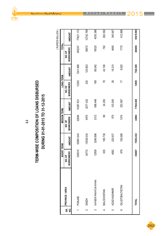

# TERM-WISE COMPOSITION OF LOANS DISBURSED<br>DURING 01-01-2015 TO 31-12-2015 **TERM-WISE COMPOSITION OF LOANS DISBURSED DURING 01-01-2015 TO 31-12-2015**

**2.3**

|          |                         | SHORT TERM                 |               | <b>MEDIUM TERM</b>         |           | <b>LONG TERM</b>           |          | TOTAL                     | (RUPEES MILLION |
|----------|-------------------------|----------------------------|---------------|----------------------------|-----------|----------------------------|----------|---------------------------|-----------------|
| SR.<br>g | PROVINCE / AREA         | <b>BORROWERS</b><br>NO. OF | <b>AMOUNT</b> | <b>BORROWERS</b><br>NO. OF | NUONNT    | <b>BORROWERS</b><br>NO. OF | NNOUNT   | <b>BORROWERS</b><br>NO.OF | AMOUNT          |
|          | <b>PUNJAB</b>           | 300010                     | 55991.643     | 32884                      | 14387.631 | 12353                      | 7241.899 | 345247                    | 77621.173       |
| $\sim$   | <b>HONIS</b>            | 34772                      | 10539.534     | 4970                       | 2077.432  | 230                        | 125.803  | 39972                     | 12742.769       |
| ∽        | KHYBER PAKHTUN KHWA     | 2509<br><u>ب</u>           | 3248.896      | 3312                       | 698.448   | <b>99</b>                  | 88.042   | 16020                     | 4035.386        |
| 4        | <b>BALOCHISTAN</b>      | 635                        | 195.736       | ශී                         | 24.250    | గ్గ                        | 42.106   | 782                       | 262.092         |
| ပ        | AZAD KASHMIR            | 4062                       | 225.937       | 575                        | 103.500   | $\frac{8}{2}$              | 16.210   | 4665                      | 345.647         |
| $\circ$  | <b>GILGIT/BALTISTAN</b> | 679                        | 150.686       | 1074                       | 253.587   | 17                         | 8.625    | 1770                      | 412.898         |
|          |                         |                            |               |                            |           |                            |          |                           |                 |
|          | <b>TOTAL</b>            | 352667                     | 70352.432     | 42884                      | 17544.848 | 12905                      | 7522.685 | 408456                    | 95419.965       |

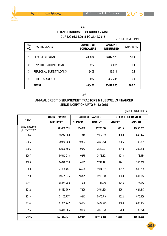ZTBL

## **2.4**

#### **LOANS DISBURSED: SECURITY - WISE DURING 01.01.2015 TO 31.12.2015**

( RUPEES MILLION )

| SR.<br>NO. | <b>PARTICULARS</b>         | <b>NUMBER OF</b><br><b>BORROWERS</b> | <b>AMOUNT</b><br><b>DISBURSED</b> | SHARE (%) |
|------------|----------------------------|--------------------------------------|-----------------------------------|-----------|
|            | <b>SECURED LOANS</b>       | 403834                               | 94844.978                         | 99.4      |
| 2          | <b>HYPOTHECATION LOANS</b> | 227                                  | 62.031                            | 0.1       |
| 3          | PERSONAL SURETY LOANS      | 3408                                 | 119.611                           | 0.1       |
| 4          | <b>OTHER SECURITY</b>      | 987                                  | 393.345                           | 0.4       |
|            | <b>TOTAL</b>               | 408456                               | 95419.965                         | 100.0     |

**2.5**

#### **ANNUAL CREDIT DISBURSEMENT, TRACTORS & TUBEWELLS FINANCED SINCE INCEPTION UPTO 31-12-2015**

|                                    | <b>ANNUAL CREDIT</b> |               | <b>TRACTORS FINANCED</b> |               | <b>TUBEWELLS FINANCED</b> |
|------------------------------------|----------------------|---------------|--------------------------|---------------|---------------------------|
| <b>YEAR</b>                        | <b>DISBURSED</b>     | <b>NUMBER</b> | <b>AMOUNT</b>            | <b>NUMBER</b> | <b>AMOUNT</b>             |
| Since Inception<br>upto 31-12-2003 | 299868.874           | 450648        | 73726.696                | 132613        | 12630.003                 |
| 2004                               | 33714.580            | 7848          | 1952.655                 | 4369          | 845.424                   |
| 2005                               | 39356.053            | 10807         | 2893.575                 | 3895          | 703.891                   |
| 2006                               | 52520.505            | 9052          | 2512.927                 | 1918          | 292.898                   |
| 2007                               | 55912.018            | 10275         | 3478.103                 | 1218          | 178.114                   |
| 2008                               | 70698.335            | 16143         | 5741.191                 | 1941          | 340.850                   |
| 2009                               | 77680.431            | 24596         | 9994.861                 | 1917          | 360.733                   |
| 2010                               | 69561.375            | 13321         | 6269.645                 | 1839          | 397.014                   |
| 2011                               | 65451.788            | 908           | 431.248                  | 1745          | 476.253                   |
| 2012                               | 64132.759            | 7296          | 3594.398                 | 2051          | 524.817                   |
| 2013                               | 71106.707            | 9212          | 5976.749                 | 1522          | 575.109                   |
| 2014                               | 81933.747            | 10554         | 7489.295                 | 1569          | 608.154                   |
| 2015                               | 95419.965            | 9154          | 7053.922                 | 260           | 82.378                    |
| <b>TOTAL</b>                       | 1077357.137          | 579814        | 131115.265               | 156857        | 18015.638                 |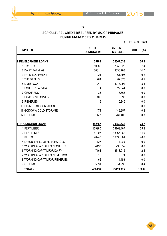**ZTBL** 

**2.6**

#### **AGRICULTURAL CREDIT DISBURSED BY MAJOR PURPOSES DURING 01-01-2015 TO 31-12-2015**

| <b>PURPOSES</b>                 | NO. OF<br><b>BORROWERS</b> | <b>AMOUNT</b><br><b>DISBURSED</b> | SHARE (%) |
|---------------------------------|----------------------------|-----------------------------------|-----------|
|                                 |                            |                                   |           |
| <b>DEVELOPMENT LOANS</b>        | 55789                      | 25067.533                         | 26.3      |
| 1 TRACTORS                      | 10982                      | 7053.922                          | 7.4       |
| <b>2 DAIRY FARMING</b>          | 30811                      | 14036.768                         | 14.7      |
| <b>3 FARM EQUIPMENT</b>         | 924                        | 161.396                           | 0.2       |
| <b>4 TUBEWELLS</b>              | 264                        | 82.378                            | 0.1       |
| <b>5 LIVESTOCK</b>              | 11047                      | 3273.992                          | 3.4       |
| <b>6 POULTRY FARMING</b>        | 4                          | 22.844                            | 0.0       |
| 7 ORCHARDS                      | 35                         | 5.563                             | 0.0       |
| 8 LAND DEVELOPMENT              | 109                        | 13.693                            | 0.0       |
| 9 FISHERIES                     | 6                          | 0.845                             | 0.0       |
| <b>10 FARM TRANSPORTATION</b>   | 6                          | 0.370                             | 0.0       |
| 11 GODOWN/ COLD STORAGE         | 474                        | 148.357                           | 0.2       |
| 12 OTHERS                       | 1127                       | 267.405                           | 0.3       |
| <b>II. PRODUCTION LOANS</b>     | 352667                     | 70352.432                         | 73.7      |
| 1 FERTILIZER                    | 169280                     | 33769.167                         | 35.4      |
| 2 PESTICIDES                    | 67007                      | 13366.962                         | 14.0      |
| 3 SEEDS                         | 98747                      | 19698.681                         | 20.6      |
| 4 LABOUR HIRE/ OTHER CHARGES    | 127                        | 11.200                            | 0.0       |
| 5 WORKING CAPITAL FOR POULTRY   | 4433                       | 796.852                           | 0.8       |
| 6 WORKING CAPITAL FOR DAIRY     | 7164                       | 2343.012                          | 2.5       |
| 7 WORKING CAPITAL FOR LIVESTOCK | 16                         | 3.074                             | 0.0       |
| 8 WORKING CAPITAL FOR FISHERIES | 62                         | 11.486                            | 0.0       |
| 9 OTHERS                        | 5831                       | 351.998                           | 0.4       |
| <b>TOTAL:-</b>                  | 408456                     | 95419.965                         | 100.0     |

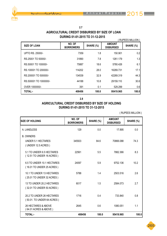

#### **2.7 AGRICULTURAL CREDIT DISBURSED BY SIZE OF LOAN DURING 01-01-2015 TO 31-12-2015**

|                         |                            |           |                                   | <b>RUPEES MILLION</b> ) |
|-------------------------|----------------------------|-----------|-----------------------------------|-------------------------|
| <b>SIZE OF LOAN</b>     | NO. OF<br><b>BORROWERS</b> | SHARE (%) | <b>AMOUNT</b><br><b>DISBURSED</b> | SHARE (%)               |
| <b>UPTO RS. 25000/-</b> | 7359                       | 1.8       | 150.901                           | 0.2                     |
| RS.25001 TO 50000/-     | 31890                      | 7.8       | 1261.179                          | 1.3                     |
| RS.50001 TO 100000/-    | 75887                      | 18.6      | 5780.426                          | 6.1                     |
| RS.100001 TO 200000/-   | 114202                     | 28.0      | 16269.731                         | 17.1                    |
| RS.200001 TO 500000/-   | 134539                     | 32.9      | 42269.319                         | 44.3                    |
| RS.500001 TO 1000000/-  | 44188                      | 10.8      | 29159.110                         | 30.6                    |
| OVER 1000000/-          | 391                        | 0.1       | 529.299                           | 0.6                     |
| <b>TOTAL:-</b>          | 408456                     | 100.0     | 95419.965                         | 100.0                   |

**2.8**

#### **AGRICULTURAL CREDIT DISBURSED BY SIZE OF HOLDING DURING 01-01-2015 TO 31-12-2015**

| <b>ISIZE OF HOLDING</b>                                      | NO. OF<br><b>BORROWERS</b> | SHARE (%) | <b>AMOUNT</b><br><b>DISBURSED</b> | SHARE (%) |
|--------------------------------------------------------------|----------------------------|-----------|-----------------------------------|-----------|
| A. LANDLESS                                                  | 129                        | 0.0       | 17.895                            | 0.0       |
| <b>B. OWNERS</b><br>UNDER 5.1 HECTARES<br>(UNDER 12.5 ACRES) | 345503                     | 84.6      | 70866.088                         | 74.3      |
| 5.1 TO UNDER 6.5 HECTARES<br>(12.51 TO UNDER 16 ACRES)       | 22561                      | 5.5       | 7882.366                          | 8.3       |
| 6.5 TO UNDER 10.1 HECTARES<br>(16.01 TO UNDER 25 ACRES)      | 24097                      | 5.9       | 9752.136                          | 10.2      |
| 10.1 TO UNDER 13 HECTARES<br>(25.01 TO UNDER 32 ACRES)       | 5788                       | 1.4       | 2503.516                          | 2.6       |
| 13 TO UNDER 20.2 HECTARES<br>(32.01 TO UNDER 50 ACRES)       | 6017                       | 1.5       | 2584.073                          | 2.7       |
| 20.2 TO UNDER 26 HECTARES<br>(50.01. TO UNDER 64 ACRES)      | 1716                       | 0.4       | 733.840                           | 0.8       |
| 26 HECTARES & ABOVE<br>(64.01 ACRES & ABOVE)                 | 2645                       | 0.6       | 1080.051                          | 1.1       |
| TOTAL:-                                                      | 408456                     | 100.0     | 95419.965                         | 100.0     |

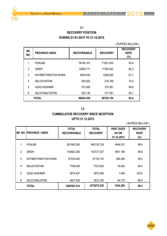7TRI

## **3.1 RECOVERY POSITION DURING 01-01-2015 TO 31-12-2015**

#### ( RUPEES MILLION )

| SR.<br>NO. | <b>PROVINCE/ AREA</b> | <b>RECOVERABLE</b> | <b>RECOVERY</b> | <b>RECOVERY</b><br><b>RATE</b><br>(%) |
|------------|-----------------------|--------------------|-----------------|---------------------------------------|
| 1          | <b>PUNJAB</b>         | 76746.161          | 71801.630       | 93.6                                  |
| 2          | <b>SINDH</b>          | 13626.711          | 11765.543       | 86.3                                  |
| 3          | KHYBER PAKHTUN KHWA   | 4634.544           | 4248.260        | 91.7                                  |
| 4          | <b>BALOCHISTAN</b>    | 292.823            | 216.799         | 74.0                                  |
| 5          | AZAD KASHMIR          | 372.060            | 370.561         | 99.6                                  |
| 6          | GILGIT/BALTISTAN      | 352.140            | 317.361         | 90.1                                  |
|            | <b>TOTAL</b>          | 96024.439          | 88720.154       | 92.4                                  |

**3.2**

#### **CUMMULATIVE RECOVERY SINCE INCEPTION UPTO 31.12.2015**

|                | <b>SR. NO. IPROVINCE / AREA</b> | <b>TOTAL</b><br><b>RECOVERABLE</b> | <b>TOTAL</b><br><b>RECOVERY</b> | <b>PAST DUES</b><br>AS ON<br>31-12-2015 | <b>RECOVERY</b><br><b>RATE</b><br>$(\%)$ |
|----------------|---------------------------------|------------------------------------|---------------------------------|-----------------------------------------|------------------------------------------|
|                | <b>PUNJAB</b>                   | 851080.260                         | 846135.729                      | 4944.531                                | 99.4                                     |
| $\overline{2}$ | <b>SINDH</b>                    | 154582.205                         | 152721.037                      | 1861.168                                | 98.8                                     |
| 3              | KHYBER PAKHTUN KHWA             | 61539.445                          | 61153.161                       | 386.284                                 | 99.4                                     |
| 4              | <b>BALOCHISTAN</b>              | 7799.629                           | 7723.605                        | 76.024                                  | 99.0                                     |
| 5              | AZAD KASHMIR                    | 3974.437                           | 3972.938                        | 1.499                                   | 100.0                                    |
| 6              | GILGIT/BALISTAN                 | 3607.538                           | 3572.759                        | 34.779                                  | 99.0                                     |
|                | <b>TOTAL</b>                    | 1082583.514                        | 1075279.229                     | 7304.285                                | 99.3                                     |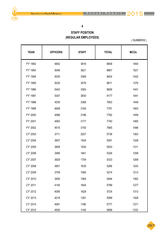ىڭد



#### **4**

# **STAFF POSITION (REGULAR EMPLOYEES)**

( NUMBERS )

| <b>YEAR</b> | <b>OFFICERS</b> | <b>STAFF</b> | <b>TOTAL</b> | <b>MCOs</b> |
|-------------|-----------------|--------------|--------------|-------------|
| FY' 1992    | 4842            | 3816         | 8658         | 1454        |
| FY' 1993    | 5046            | 3621         | 8667         | 1521        |
| FY' 1994    | 5035            | 3369         | 8404         | 1432        |
| FY' 1995    | 5035            | 3576         | 8611         | 1376        |
| FY' 1996    | 5443            | 3383         | 8826         | 1441        |
| FY' 1997    | 5347            | 3830         | 9177         | 1441        |
| FY' 1998    | 4535            | 3368         | 7903         | 1449        |
| FY' 1999    | 4608            | 3183         | 7791         | 1463        |
| FY' 2000    | 4586            | 3196         | 7782         | 1459        |
| FY' 2001    | 4563            | 3177         | 7740         | 1465        |
| FY' 2002    | 4515            | 3150         | 7665         | 1496        |
| CY' 2003    | 3711            | 2027         | 5738         | 1363        |
| CY' 2004    | 3657            | 1934         | 5591         | 1328        |
| CY' 2005    | 3609            | 1934         | 5543         | 1311        |
| CY' 2006    | 3485            | 1841         | 5326         | 1258        |
| CY' 2007    | 3629            | 1704         | 5333         | 1269        |
| CY' 2008    | 3651            | 1635         | 5286         | 1243        |
| CY' 2009    | 3709            | 1565         | 5274         | 1212        |
| CY' 2010    | 3930            | 1564         | 5494         | 1362        |
| CY' 2011    | 4145            | 1644         | 5789         | 1277        |
| CY' 2012    | 4095            | 1629         | 5724         | 1313        |
| CY' 2013    | 4218            | 1381         | 5599         | 1308        |
| CY' 2014    | 4581            | 1196         | 5777         | 1271        |
| CY' 2015    | 4550            | 1149         | 5699         | 1333        |